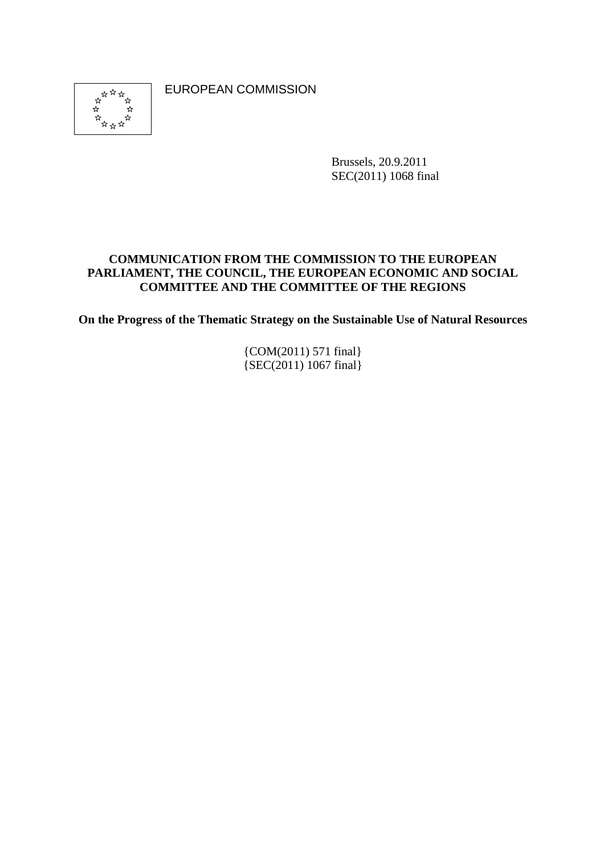EUROPEAN COMMISSION



Brussels, 20.9.2011 SEC(2011) 1068 final

### **COMMUNICATION FROM THE COMMISSION TO THE EUROPEAN PARLIAMENT, THE COUNCIL, THE EUROPEAN ECONOMIC AND SOCIAL COMMITTEE AND THE COMMITTEE OF THE REGIONS**

**On the Progress of the Thematic Strategy on the Sustainable Use of Natural Resources** 

{COM(2011) 571 final} {SEC(2011) 1067 final}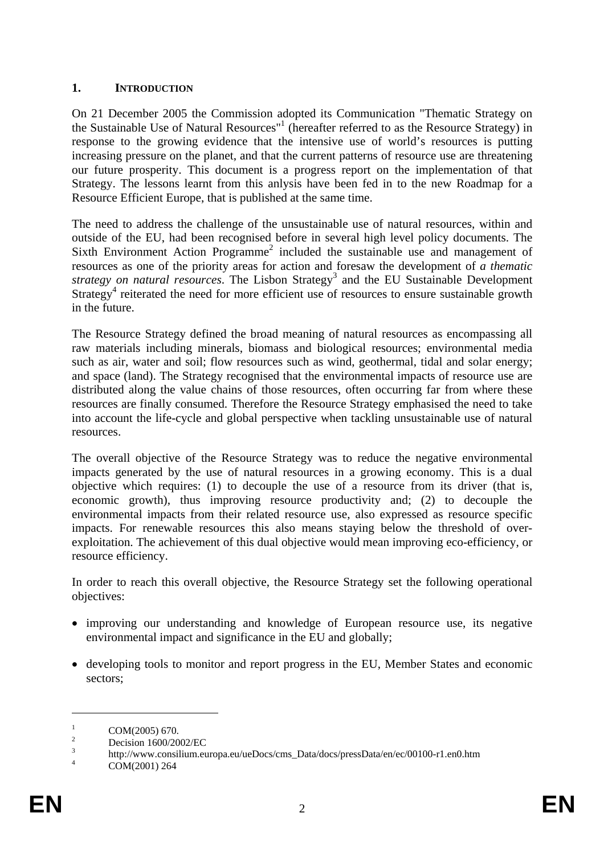## **1. INTRODUCTION**

On 21 December 2005 the Commission adopted its Communication "Thematic Strategy on the Sustainable Use of Natural Resources<sup>"1</sup> (hereafter referred to as the Resource Strategy) in response to the growing evidence that the intensive use of world's resources is putting increasing pressure on the planet, and that the current patterns of resource use are threatening our future prosperity. This document is a progress report on the implementation of that Strategy. The lessons learnt from this anlysis have been fed in to the new Roadmap for a Resource Efficient Europe, that is published at the same time.

The need to address the challenge of the unsustainable use of natural resources, within and outside of the EU, had been recognised before in several high level policy documents. The Sixth Environment Action Programme<sup>2</sup> included the sustainable use and management of resources as one of the priority areas for action and foresaw the development of *a thematic*  strategy on natural resources. The Lisbon Strategy<sup>3</sup> and the EU Sustainable Development Strategy<sup>4</sup> reiterated the need for more efficient use of resources to ensure sustainable growth in the future.

The Resource Strategy defined the broad meaning of natural resources as encompassing all raw materials including minerals, biomass and biological resources; environmental media such as air, water and soil; flow resources such as wind, geothermal, tidal and solar energy; and space (land). The Strategy recognised that the environmental impacts of resource use are distributed along the value chains of those resources, often occurring far from where these resources are finally consumed. Therefore the Resource Strategy emphasised the need to take into account the life-cycle and global perspective when tackling unsustainable use of natural resources.

The overall objective of the Resource Strategy was to reduce the negative environmental impacts generated by the use of natural resources in a growing economy. This is a dual objective which requires: (1) to decouple the use of a resource from its driver (that is, economic growth), thus improving resource productivity and; (2) to decouple the environmental impacts from their related resource use, also expressed as resource specific impacts. For renewable resources this also means staying below the threshold of overexploitation. The achievement of this dual objective would mean improving eco-efficiency, or resource efficiency.

In order to reach this overall objective, the Resource Strategy set the following operational objectives:

- improving our understanding and knowledge of European resource use, its negative environmental impact and significance in the EU and globally;
- developing tools to monitor and report progress in the EU, Member States and economic sectors;

<sup>1</sup> COM(2005) 670.

<sup>2</sup> Decision 1600/2002/EC

<sup>3</sup>  $\frac{3}{4}$  http://www.consilium.europa.eu/ueDocs/cms\_Data/docs/pressData/en/ec/00100-r1.en0.htm

COM(2001) 264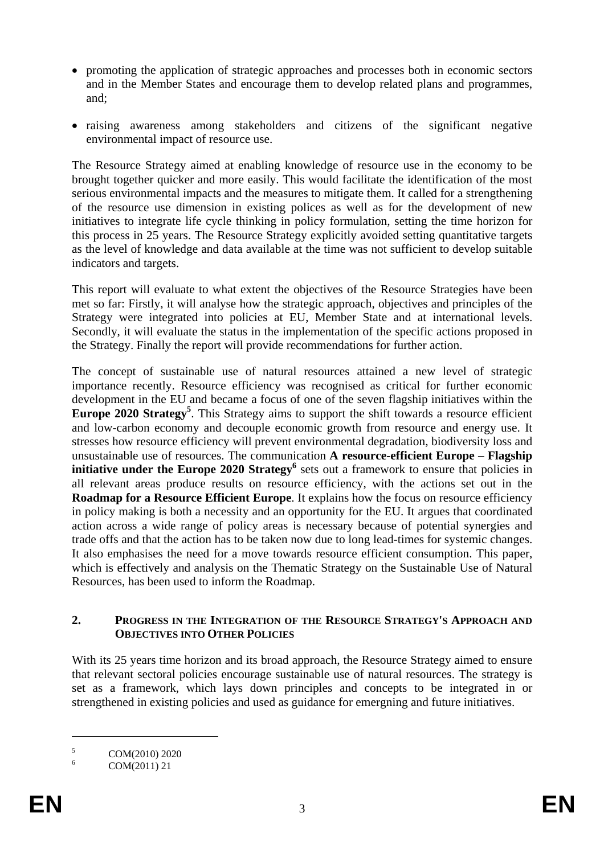- promoting the application of strategic approaches and processes both in economic sectors and in the Member States and encourage them to develop related plans and programmes, and;
- raising awareness among stakeholders and citizens of the significant negative environmental impact of resource use.

The Resource Strategy aimed at enabling knowledge of resource use in the economy to be brought together quicker and more easily. This would facilitate the identification of the most serious environmental impacts and the measures to mitigate them. It called for a strengthening of the resource use dimension in existing polices as well as for the development of new initiatives to integrate life cycle thinking in policy formulation, setting the time horizon for this process in 25 years. The Resource Strategy explicitly avoided setting quantitative targets as the level of knowledge and data available at the time was not sufficient to develop suitable indicators and targets.

This report will evaluate to what extent the objectives of the Resource Strategies have been met so far: Firstly, it will analyse how the strategic approach, objectives and principles of the Strategy were integrated into policies at EU, Member State and at international levels. Secondly, it will evaluate the status in the implementation of the specific actions proposed in the Strategy. Finally the report will provide recommendations for further action.

The concept of sustainable use of natural resources attained a new level of strategic importance recently. Resource efficiency was recognised as critical for further economic development in the EU and became a focus of one of the seven flagship initiatives within the Europe 2020 Strategy<sup>5</sup>. This Strategy aims to support the shift towards a resource efficient and low-carbon economy and decouple economic growth from resource and energy use. It stresses how resource efficiency will prevent environmental degradation, biodiversity loss and unsustainable use of resources. The communication **A resource-efficient Europe – Flagship initiative under the Europe 2020 Strategy**<sup>6</sup> sets out a framework to ensure that policies in all relevant areas produce results on resource efficiency, with the actions set out in the **Roadmap for a Resource Efficient Europe**. It explains how the focus on resource efficiency in policy making is both a necessity and an opportunity for the EU. It argues that coordinated action across a wide range of policy areas is necessary because of potential synergies and trade offs and that the action has to be taken now due to long lead-times for systemic changes. It also emphasises the need for a move towards resource efficient consumption. This paper, which is effectively and analysis on the Thematic Strategy on the Sustainable Use of Natural Resources, has been used to inform the Roadmap.

#### **2. PROGRESS IN THE INTEGRATION OF THE RESOURCE STRATEGY'S APPROACH AND OBJECTIVES INTO OTHER POLICIES**

With its 25 years time horizon and its broad approach, the Resource Strategy aimed to ensure that relevant sectoral policies encourage sustainable use of natural resources. The strategy is set as a framework, which lays down principles and concepts to be integrated in or strengthened in existing policies and used as guidance for emergning and future initiatives.

<u>.</u>

<sup>5</sup> COM(2010) 2020

<sup>6</sup> COM(2011) 21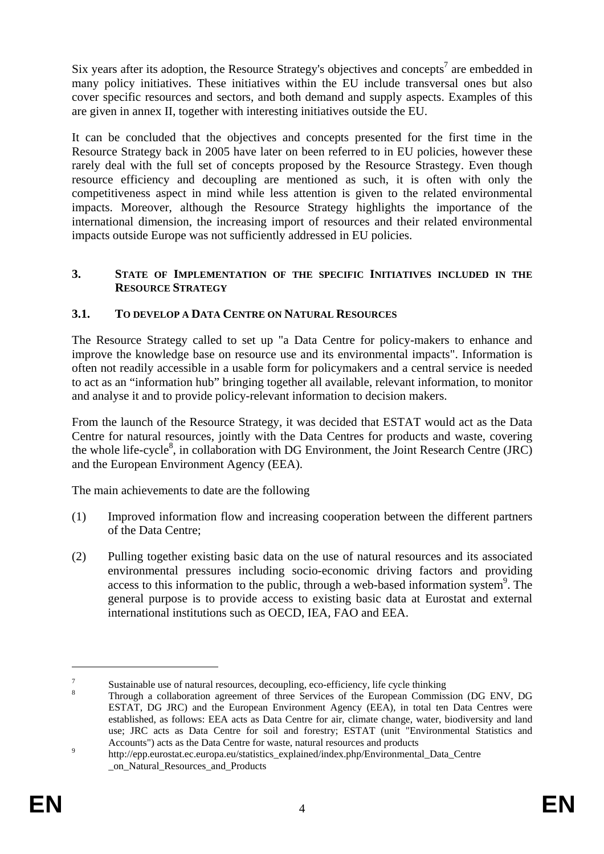Six years after its adoption, the Resource Strategy's objectives and concepts<sup>7</sup> are embedded in many policy initiatives. These initiatives within the EU include transversal ones but also cover specific resources and sectors, and both demand and supply aspects. Examples of this are given in annex II, together with interesting initiatives outside the EU.

It can be concluded that the objectives and concepts presented for the first time in the Resource Strategy back in 2005 have later on been referred to in EU policies, however these rarely deal with the full set of concepts proposed by the Resource Strastegy. Even though resource efficiency and decoupling are mentioned as such, it is often with only the competitiveness aspect in mind while less attention is given to the related environmental impacts. Moreover, although the Resource Strategy highlights the importance of the international dimension, the increasing import of resources and their related environmental impacts outside Europe was not sufficiently addressed in EU policies.

### **3. STATE OF IMPLEMENTATION OF THE SPECIFIC INITIATIVES INCLUDED IN THE RESOURCE STRATEGY**

## **3.1. TO DEVELOP A DATA CENTRE ON NATURAL RESOURCES**

The Resource Strategy called to set up "a Data Centre for policy-makers to enhance and improve the knowledge base on resource use and its environmental impacts". Information is often not readily accessible in a usable form for policymakers and a central service is needed to act as an "information hub" bringing together all available, relevant information, to monitor and analyse it and to provide policy-relevant information to decision makers.

From the launch of the Resource Strategy, it was decided that ESTAT would act as the Data Centre for natural resources, jointly with the Data Centres for products and waste, covering the whole life-cycle<sup>8</sup>, in collaboration with DG Environment, the Joint Research Centre (JRC) and the European Environment Agency (EEA).

The main achievements to date are the following

- (1) Improved information flow and increasing cooperation between the different partners of the Data Centre;
- (2) Pulling together existing basic data on the use of natural resources and its associated environmental pressures including socio-economic driving factors and providing access to this information to the public, through a web-based information system<sup>9</sup>. The general purpose is to provide access to existing basic data at Eurostat and external international institutions such as OECD, IEA, FAO and EEA.

<u>.</u>

<sup>7</sup> Sustainable use of natural resources, decoupling, eco-efficiency, life cycle thinking  $\frac{8}{3}$ 

Through a collaboration agreement of three Services of the European Commission (DG ENV, DG ESTAT, DG JRC) and the European Environment Agency (EEA), in total ten Data Centres were established, as follows: EEA acts as Data Centre for air, climate change, water, biodiversity and land use; JRC acts as Data Centre for soil and forestry; ESTAT (unit "Environmental Statistics and [Accounts"\) acts as the Data Centre for waste, natural resources and products](http://epp.eurostat.ec.europa.eu/statistics_explained/index.php/Environmental_Data_Centre _on_Natural_Resources_and_Products) 9

http://epp.eurostat.ec.europa.eu/statistics\_explained/index.php/Environmental\_Data\_Centre [\\_on\\_Natural\\_Resources\\_and\\_Products](http://epp.eurostat.ec.europa.eu/statistics_explained/index.php/Environmental_Data_Centre _on_Natural_Resources_and_Products)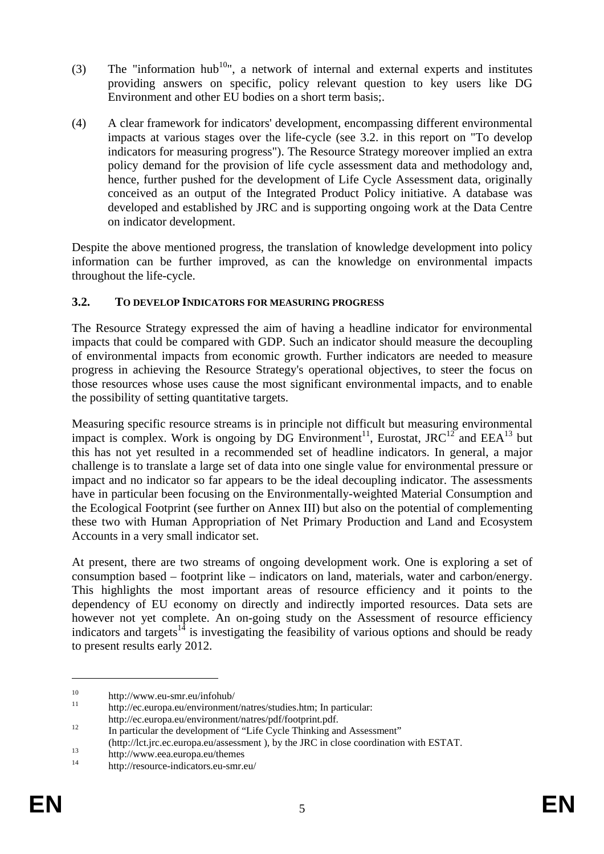- (3) The "information hub<sup>10</sup>", a network of internal and external experts and institutes providing answers on specific, policy relevant question to key users like DG Environment and other EU bodies on a short term basis;.
- (4) A clear framework for indicators' development, encompassing different environmental impacts at various stages over the life-cycle (see 3.2. in this report on "To develop indicators for measuring progress"). The Resource Strategy moreover implied an extra policy demand for the provision of life cycle assessment data and methodology and, hence, further pushed for the development of Life Cycle Assessment data, originally conceived as an output of the Integrated Product Policy initiative. A database was developed and established by JRC and is supporting ongoing work at the Data Centre on indicator development.

Despite the above mentioned progress, the translation of knowledge development into policy information can be further improved, as can the knowledge on environmental impacts throughout the life-cycle.

## **3.2. TO DEVELOP INDICATORS FOR MEASURING PROGRESS**

The Resource Strategy expressed the aim of having a headline indicator for environmental impacts that could be compared with GDP. Such an indicator should measure the decoupling of environmental impacts from economic growth. Further indicators are needed to measure progress in achieving the Resource Strategy's operational objectives, to steer the focus on those resources whose uses cause the most significant environmental impacts, and to enable the possibility of setting quantitative targets.

Measuring specific resource streams is in principle not difficult but measuring environmental impact is complex. Work is ongoing by DG Environment<sup>11</sup>, Eurostat, JRC<sup>12</sup> and EEA<sup>13</sup> but this has not yet resulted in a recommended set of headline indicators. In general, a major challenge is to translate a large set of data into one single value for environmental pressure or impact and no indicator so far appears to be the ideal decoupling indicator. The assessments have in particular been focusing on the Environmentally-weighted Material Consumption and the Ecological Footprint (see further on Annex III) but also on the potential of complementing these two with Human Appropriation of Net Primary Production and Land and Ecosystem Accounts in a very small indicator set.

At present, there are two streams of ongoing development work. One is exploring a set of consumption based – footprint like – indicators on land, materials, water and carbon/energy. This highlights the most important areas of resource efficiency and it points to the dependency of EU economy on directly and indirectly imported resources. Data sets are however not yet complete. An on-going study on the Assessment of resource efficiency indicators and targets<sup>14</sup> is investigating the feasibility of various options and should be ready to present results early 2012.

 $10$  http://www.eu-smr.eu/infohub/

[http://ec.europa.eu/environment/natres/studies.htm;](http://ec.europa.eu/environment/natres/studies.htm) In particular:

http://ec.europa.eu/environment/natres/pdf/footprint.pdf.<br>
In particular the development of "Life Cycle Thinking and Assessment"

<sup>(</sup>http://lct.jrc.ec.europa.eu/assessment ), by the JRC in close coordination with ESTAT. 13 http://www.eea.europa.eu/themes 14 http://resource-indicators.eu-smr.eu/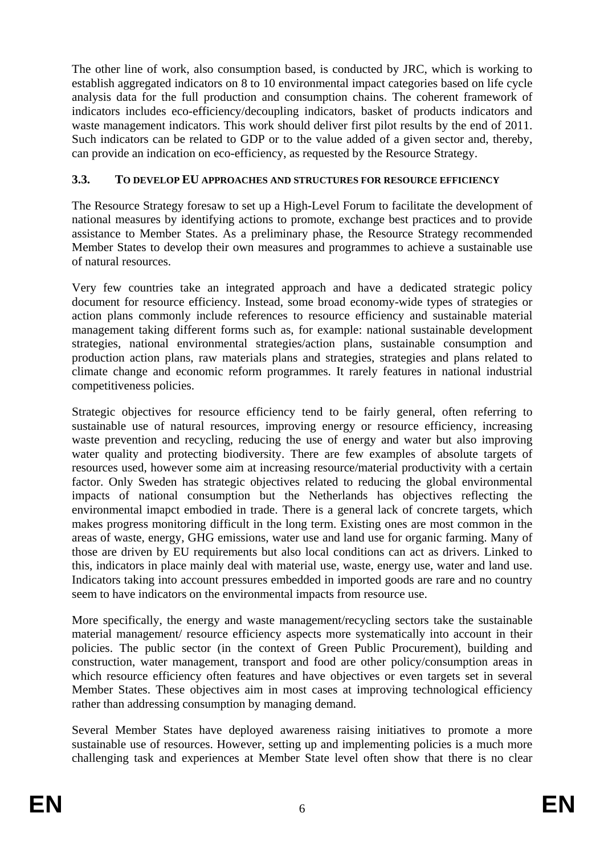The other line of work, also consumption based, is conducted by JRC, which is working to establish aggregated indicators on 8 to 10 environmental impact categories based on life cycle analysis data for the full production and consumption chains. The coherent framework of indicators includes eco-efficiency/decoupling indicators, basket of products indicators and waste management indicators. This work should deliver first pilot results by the end of 2011. Such indicators can be related to GDP or to the value added of a given sector and, thereby, can provide an indication on eco-efficiency, as requested by the Resource Strategy.

## **3.3. TO DEVELOP EU APPROACHES AND STRUCTURES FOR RESOURCE EFFICIENCY**

The Resource Strategy foresaw to set up a High-Level Forum to facilitate the development of national measures by identifying actions to promote, exchange best practices and to provide assistance to Member States. As a preliminary phase, the Resource Strategy recommended Member States to develop their own measures and programmes to achieve a sustainable use of natural resources.

Very few countries take an integrated approach and have a dedicated strategic policy document for resource efficiency. Instead, some broad economy-wide types of strategies or action plans commonly include references to resource efficiency and sustainable material management taking different forms such as, for example: national sustainable development strategies, national environmental strategies/action plans, sustainable consumption and production action plans, raw materials plans and strategies, strategies and plans related to climate change and economic reform programmes. It rarely features in national industrial competitiveness policies.

Strategic objectives for resource efficiency tend to be fairly general, often referring to sustainable use of natural resources, improving energy or resource efficiency, increasing waste prevention and recycling, reducing the use of energy and water but also improving water quality and protecting biodiversity. There are few examples of absolute targets of resources used, however some aim at increasing resource/material productivity with a certain factor. Only Sweden has strategic objectives related to reducing the global environmental impacts of national consumption but the Netherlands has objectives reflecting the environmental imapct embodied in trade. There is a general lack of concrete targets, which makes progress monitoring difficult in the long term. Existing ones are most common in the areas of waste, energy, GHG emissions, water use and land use for organic farming. Many of those are driven by EU requirements but also local conditions can act as drivers. Linked to this, indicators in place mainly deal with material use, waste, energy use, water and land use. Indicators taking into account pressures embedded in imported goods are rare and no country seem to have indicators on the environmental impacts from resource use.

More specifically, the energy and waste management/recycling sectors take the sustainable material management/ resource efficiency aspects more systematically into account in their policies. The public sector (in the context of Green Public Procurement), building and construction, water management, transport and food are other policy/consumption areas in which resource efficiency often features and have objectives or even targets set in several Member States. These objectives aim in most cases at improving technological efficiency rather than addressing consumption by managing demand.

Several Member States have deployed awareness raising initiatives to promote a more sustainable use of resources. However, setting up and implementing policies is a much more challenging task and experiences at Member State level often show that there is no clear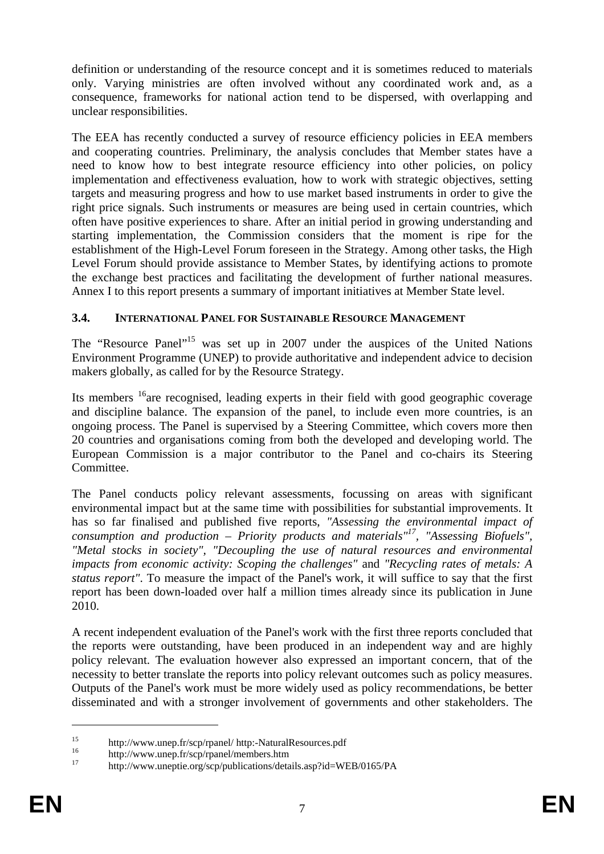definition or understanding of the resource concept and it is sometimes reduced to materials only. Varying ministries are often involved without any coordinated work and, as a consequence, frameworks for national action tend to be dispersed, with overlapping and unclear responsibilities.

The EEA has recently conducted a survey of resource efficiency policies in EEA members and cooperating countries. Preliminary, the analysis concludes that Member states have a need to know how to best integrate resource efficiency into other policies, on policy implementation and effectiveness evaluation, how to work with strategic objectives, setting targets and measuring progress and how to use market based instruments in order to give the right price signals. Such instruments or measures are being used in certain countries, which often have positive experiences to share. After an initial period in growing understanding and starting implementation, the Commission considers that the moment is ripe for the establishment of the High-Level Forum foreseen in the Strategy. Among other tasks, the High Level Forum should provide assistance to Member States, by identifying actions to promote the exchange best practices and facilitating the development of further national measures. Annex I to this report presents a summary of important initiatives at Member State level.

### **3.4. INTERNATIONAL PANEL FOR SUSTAINABLE RESOURCE MANAGEMENT**

The "Resource Panel"<sup>15</sup> was set up in 2007 under the auspices of the United Nations Environment Programme (UNEP) to provide authoritative and independent advice to decision makers globally, as called for by the Resource Strategy.

Its members  $16$ <sub>are recognised, leading experts in their field with good geographic coverage</sub> and discipline balance. The expansion of the panel, to include even more countries, is an ongoing process. The Panel is supervised by a Steering Committee, which covers more then 20 countries and organisations coming from both the developed and developing world. The European Commission is a major contributor to the Panel and co-chairs its Steering Committee.

The Panel conducts policy relevant assessments, focussing on areas with significant environmental impact but at the same time with possibilities for substantial improvements. It has so far finalised and published five reports, *"Assessing the environmental impact of consumption and production – Priority products and materials"17, "Assessing Biofuels", "Metal stocks in society", "Decoupling the use of natural resources and environmental impacts from economic activity: Scoping the challenges"* and *"Recycling rates of metals: A status report"*. To measure the impact of the Panel's work, it will suffice to say that the first report has been down-loaded over half a million times already since its publication in June 2010.

A recent independent evaluation of the Panel's work with the first three reports concluded that the reports were outstanding, have been produced in an independent way and are highly policy relevant. The evaluation however also expressed an important concern, that of the necessity to better translate the reports into policy relevant outcomes such as policy measures. Outputs of the Panel's work must be more widely used as policy recommendations, be better disseminated and with a stronger involvement of governments and other stakeholders. The

<sup>&</sup>lt;sup>15</sup> http://www.unep.fr/scp/rpanel/ http:-NaturalResources.pdf<br>
<sup>16</sup> http://www.unep.fr/scp/rpanel/members.htm<br>
<sup>17</sup> http://www.unep.fr/scp/con/muhications/datails.con<sup>2:4</sup>

<sup>17</sup> http://www.uneptie.org/scp/publications/details.asp?id=WEB/0165/PA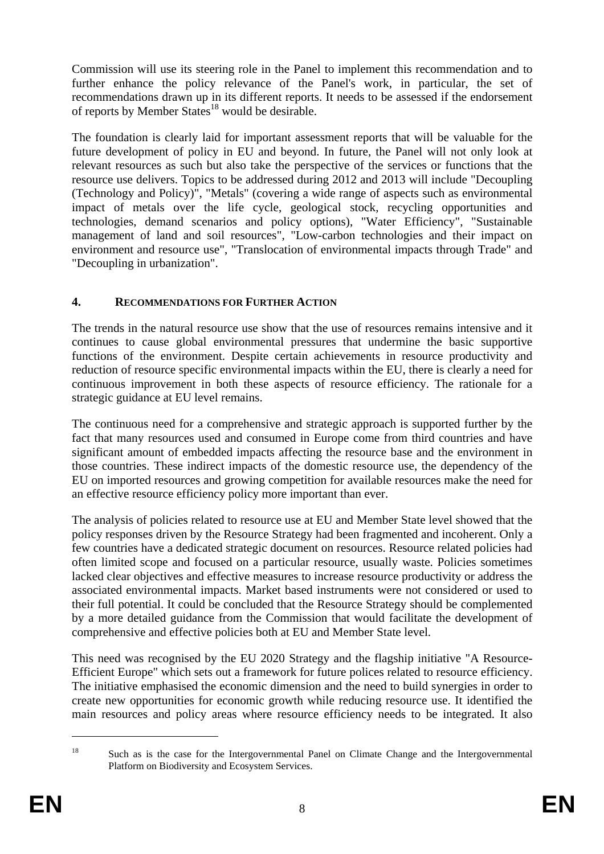Commission will use its steering role in the Panel to implement this recommendation and to further enhance the policy relevance of the Panel's work, in particular, the set of recommendations drawn up in its different reports. It needs to be assessed if the endorsement of reports by Member States<sup>18</sup> would be desirable.

The foundation is clearly laid for important assessment reports that will be valuable for the future development of policy in EU and beyond. In future, the Panel will not only look at relevant resources as such but also take the perspective of the services or functions that the resource use delivers. Topics to be addressed during 2012 and 2013 will include "Decoupling (Technology and Policy)", "Metals" (covering a wide range of aspects such as environmental impact of metals over the life cycle, geological stock, recycling opportunities and technologies, demand scenarios and policy options), "Water Efficiency", "Sustainable management of land and soil resources", "Low-carbon technologies and their impact on environment and resource use", "Translocation of environmental impacts through Trade" and "Decoupling in urbanization".

## **4. RECOMMENDATIONS FOR FURTHER ACTION**

The trends in the natural resource use show that the use of resources remains intensive and it continues to cause global environmental pressures that undermine the basic supportive functions of the environment. Despite certain achievements in resource productivity and reduction of resource specific environmental impacts within the EU, there is clearly a need for continuous improvement in both these aspects of resource efficiency. The rationale for a strategic guidance at EU level remains.

The continuous need for a comprehensive and strategic approach is supported further by the fact that many resources used and consumed in Europe come from third countries and have significant amount of embedded impacts affecting the resource base and the environment in those countries. These indirect impacts of the domestic resource use, the dependency of the EU on imported resources and growing competition for available resources make the need for an effective resource efficiency policy more important than ever.

The analysis of policies related to resource use at EU and Member State level showed that the policy responses driven by the Resource Strategy had been fragmented and incoherent. Only a few countries have a dedicated strategic document on resources. Resource related policies had often limited scope and focused on a particular resource, usually waste. Policies sometimes lacked clear objectives and effective measures to increase resource productivity or address the associated environmental impacts. Market based instruments were not considered or used to their full potential. It could be concluded that the Resource Strategy should be complemented by a more detailed guidance from the Commission that would facilitate the development of comprehensive and effective policies both at EU and Member State level.

This need was recognised by the EU 2020 Strategy and the flagship initiative "A Resource-Efficient Europe" which sets out a framework for future polices related to resource efficiency. The initiative emphasised the economic dimension and the need to build synergies in order to create new opportunities for economic growth while reducing resource use. It identified the main resources and policy areas where resource efficiency needs to be integrated. It also

<u>.</u>

<sup>&</sup>lt;sup>18</sup> Such as is the case for the Intergovernmental Panel on Climate Change and the Intergovernmental Platform on Biodiversity and Ecosystem Services.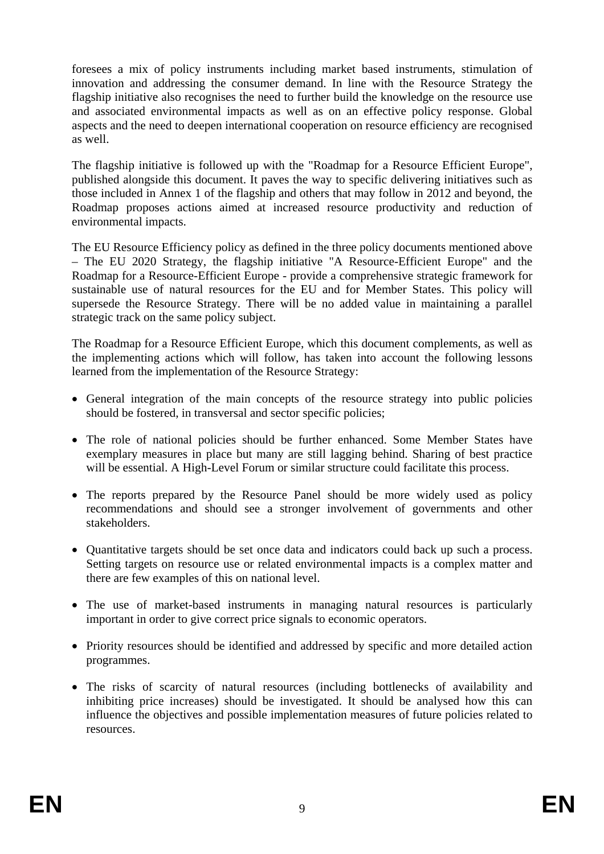foresees a mix of policy instruments including market based instruments, stimulation of innovation and addressing the consumer demand. In line with the Resource Strategy the flagship initiative also recognises the need to further build the knowledge on the resource use and associated environmental impacts as well as on an effective policy response. Global aspects and the need to deepen international cooperation on resource efficiency are recognised as well.

The flagship initiative is followed up with the "Roadmap for a Resource Efficient Europe", published alongside this document. It paves the way to specific delivering initiatives such as those included in Annex 1 of the flagship and others that may follow in 2012 and beyond, the Roadmap proposes actions aimed at increased resource productivity and reduction of environmental impacts.

The EU Resource Efficiency policy as defined in the three policy documents mentioned above – The EU 2020 Strategy, the flagship initiative "A Resource-Efficient Europe" and the Roadmap for a Resource-Efficient Europe - provide a comprehensive strategic framework for sustainable use of natural resources for the EU and for Member States. This policy will supersede the Resource Strategy. There will be no added value in maintaining a parallel strategic track on the same policy subject.

The Roadmap for a Resource Efficient Europe, which this document complements, as well as the implementing actions which will follow, has taken into account the following lessons learned from the implementation of the Resource Strategy:

- General integration of the main concepts of the resource strategy into public policies should be fostered, in transversal and sector specific policies;
- The role of national policies should be further enhanced. Some Member States have exemplary measures in place but many are still lagging behind. Sharing of best practice will be essential. A High-Level Forum or similar structure could facilitate this process.
- The reports prepared by the Resource Panel should be more widely used as policy recommendations and should see a stronger involvement of governments and other stakeholders.
- Quantitative targets should be set once data and indicators could back up such a process. Setting targets on resource use or related environmental impacts is a complex matter and there are few examples of this on national level.
- The use of market-based instruments in managing natural resources is particularly important in order to give correct price signals to economic operators.
- Priority resources should be identified and addressed by specific and more detailed action programmes.
- The risks of scarcity of natural resources (including bottlenecks of availability and inhibiting price increases) should be investigated. It should be analysed how this can influence the objectives and possible implementation measures of future policies related to resources.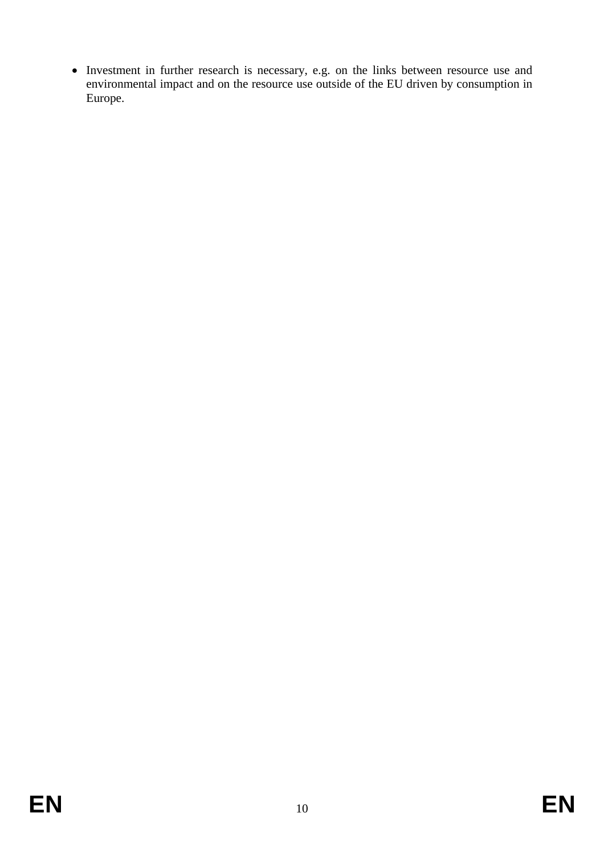• Investment in further research is necessary, e.g. on the links between resource use and environmental impact and on the resource use outside of the EU driven by consumption in Europe.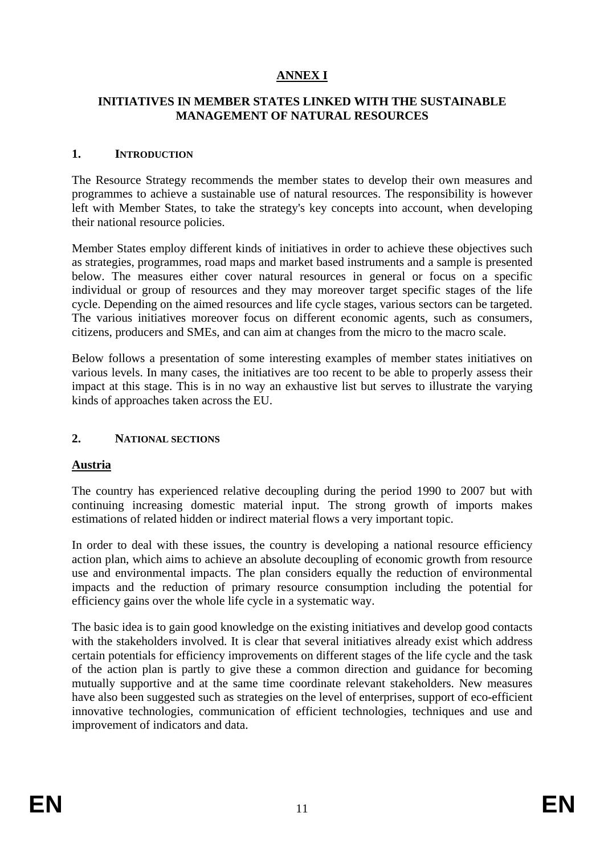# **ANNEX I**

#### **INITIATIVES IN MEMBER STATES LINKED WITH THE SUSTAINABLE MANAGEMENT OF NATURAL RESOURCES**

#### **1. INTRODUCTION**

The Resource Strategy recommends the member states to develop their own measures and programmes to achieve a sustainable use of natural resources. The responsibility is however left with Member States, to take the strategy's key concepts into account, when developing their national resource policies.

Member States employ different kinds of initiatives in order to achieve these objectives such as strategies, programmes, road maps and market based instruments and a sample is presented below. The measures either cover natural resources in general or focus on a specific individual or group of resources and they may moreover target specific stages of the life cycle. Depending on the aimed resources and life cycle stages, various sectors can be targeted. The various initiatives moreover focus on different economic agents, such as consumers, citizens, producers and SMEs, and can aim at changes from the micro to the macro scale.

Below follows a presentation of some interesting examples of member states initiatives on various levels. In many cases, the initiatives are too recent to be able to properly assess their impact at this stage. This is in no way an exhaustive list but serves to illustrate the varying kinds of approaches taken across the EU.

#### **2. NATIONAL SECTIONS**

#### **Austria**

The country has experienced relative decoupling during the period 1990 to 2007 but with continuing increasing domestic material input. The strong growth of imports makes estimations of related hidden or indirect material flows a very important topic.

In order to deal with these issues, the country is developing a national resource efficiency action plan, which aims to achieve an absolute decoupling of economic growth from resource use and environmental impacts. The plan considers equally the reduction of environmental impacts and the reduction of primary resource consumption including the potential for efficiency gains over the whole life cycle in a systematic way.

The basic idea is to gain good knowledge on the existing initiatives and develop good contacts with the stakeholders involved. It is clear that several initiatives already exist which address certain potentials for efficiency improvements on different stages of the life cycle and the task of the action plan is partly to give these a common direction and guidance for becoming mutually supportive and at the same time coordinate relevant stakeholders. New measures have also been suggested such as strategies on the level of enterprises, support of eco-efficient innovative technologies, communication of efficient technologies, techniques and use and improvement of indicators and data.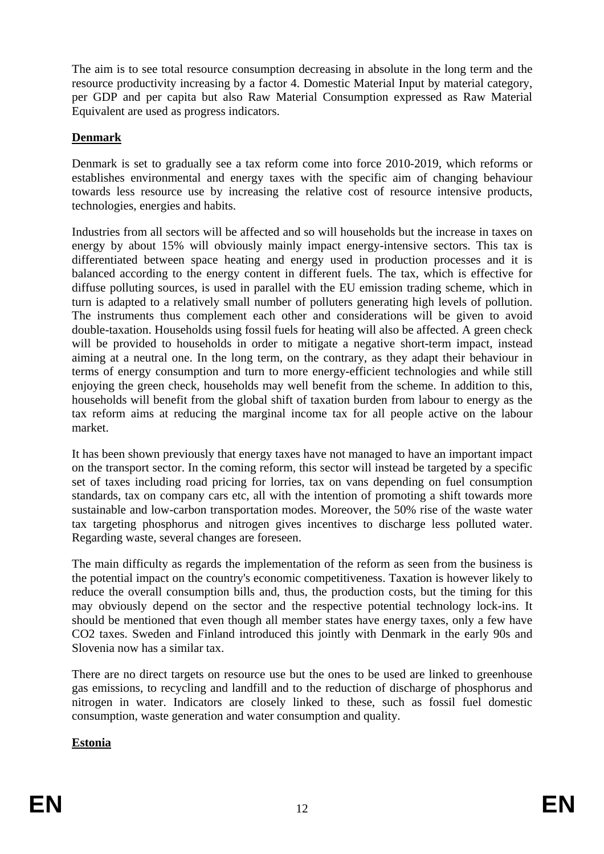The aim is to see total resource consumption decreasing in absolute in the long term and the resource productivity increasing by a factor 4. Domestic Material Input by material category, per GDP and per capita but also Raw Material Consumption expressed as Raw Material Equivalent are used as progress indicators.

## **Denmark**

Denmark is set to gradually see a tax reform come into force 2010-2019, which reforms or establishes environmental and energy taxes with the specific aim of changing behaviour towards less resource use by increasing the relative cost of resource intensive products, technologies, energies and habits.

Industries from all sectors will be affected and so will households but the increase in taxes on energy by about 15% will obviously mainly impact energy-intensive sectors. This tax is differentiated between space heating and energy used in production processes and it is balanced according to the energy content in different fuels. The tax, which is effective for diffuse polluting sources, is used in parallel with the EU emission trading scheme, which in turn is adapted to a relatively small number of polluters generating high levels of pollution. The instruments thus complement each other and considerations will be given to avoid double-taxation. Households using fossil fuels for heating will also be affected. A green check will be provided to households in order to mitigate a negative short-term impact, instead aiming at a neutral one. In the long term, on the contrary, as they adapt their behaviour in terms of energy consumption and turn to more energy-efficient technologies and while still enjoying the green check, households may well benefit from the scheme. In addition to this, households will benefit from the global shift of taxation burden from labour to energy as the tax reform aims at reducing the marginal income tax for all people active on the labour market.

It has been shown previously that energy taxes have not managed to have an important impact on the transport sector. In the coming reform, this sector will instead be targeted by a specific set of taxes including road pricing for lorries, tax on vans depending on fuel consumption standards, tax on company cars etc, all with the intention of promoting a shift towards more sustainable and low-carbon transportation modes. Moreover, the 50% rise of the waste water tax targeting phosphorus and nitrogen gives incentives to discharge less polluted water. Regarding waste, several changes are foreseen.

The main difficulty as regards the implementation of the reform as seen from the business is the potential impact on the country's economic competitiveness. Taxation is however likely to reduce the overall consumption bills and, thus, the production costs, but the timing for this may obviously depend on the sector and the respective potential technology lock-ins. It should be mentioned that even though all member states have energy taxes, only a few have CO2 taxes. Sweden and Finland introduced this jointly with Denmark in the early 90s and Slovenia now has a similar tax.

There are no direct targets on resource use but the ones to be used are linked to greenhouse gas emissions, to recycling and landfill and to the reduction of discharge of phosphorus and nitrogen in water. Indicators are closely linked to these, such as fossil fuel domestic consumption, waste generation and water consumption and quality.

## **Estonia**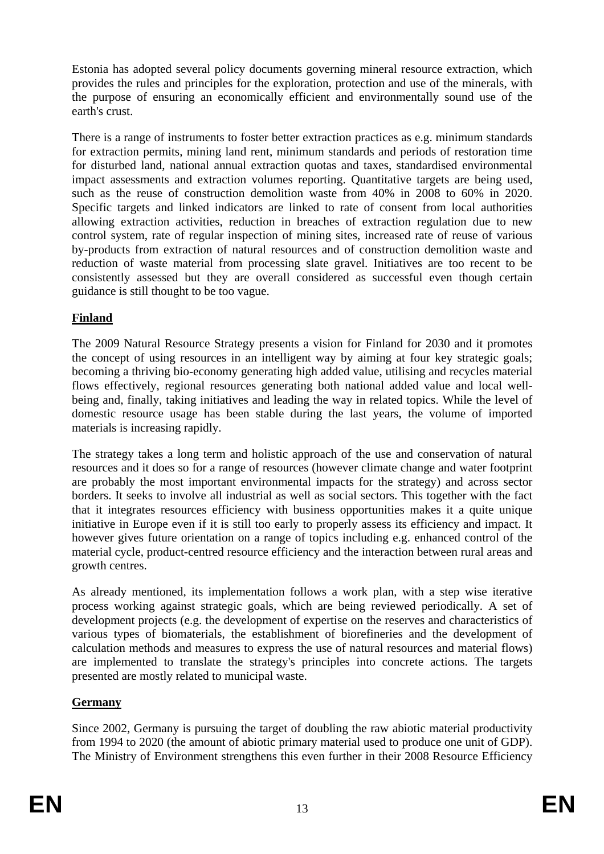Estonia has adopted several policy documents governing mineral resource extraction, which provides the rules and principles for the exploration, protection and use of the minerals, with the purpose of ensuring an economically efficient and environmentally sound use of the earth's crust.

There is a range of instruments to foster better extraction practices as e.g. minimum standards for extraction permits, mining land rent, minimum standards and periods of restoration time for disturbed land, national annual extraction quotas and taxes, standardised environmental impact assessments and extraction volumes reporting. Quantitative targets are being used, such as the reuse of construction demolition waste from 40% in 2008 to 60% in 2020. Specific targets and linked indicators are linked to rate of consent from local authorities allowing extraction activities, reduction in breaches of extraction regulation due to new control system, rate of regular inspection of mining sites, increased rate of reuse of various by-products from extraction of natural resources and of construction demolition waste and reduction of waste material from processing slate gravel. Initiatives are too recent to be consistently assessed but they are overall considered as successful even though certain guidance is still thought to be too vague.

## **Finland**

The 2009 Natural Resource Strategy presents a vision for Finland for 2030 and it promotes the concept of using resources in an intelligent way by aiming at four key strategic goals; becoming a thriving bio-economy generating high added value, utilising and recycles material flows effectively, regional resources generating both national added value and local wellbeing and, finally, taking initiatives and leading the way in related topics. While the level of domestic resource usage has been stable during the last years, the volume of imported materials is increasing rapidly.

The strategy takes a long term and holistic approach of the use and conservation of natural resources and it does so for a range of resources (however climate change and water footprint are probably the most important environmental impacts for the strategy) and across sector borders. It seeks to involve all industrial as well as social sectors. This together with the fact that it integrates resources efficiency with business opportunities makes it a quite unique initiative in Europe even if it is still too early to properly assess its efficiency and impact. It however gives future orientation on a range of topics including e.g. enhanced control of the material cycle, product-centred resource efficiency and the interaction between rural areas and growth centres.

As already mentioned, its implementation follows a work plan, with a step wise iterative process working against strategic goals, which are being reviewed periodically. A set of development projects (e.g. the development of expertise on the reserves and characteristics of various types of biomaterials, the establishment of biorefineries and the development of calculation methods and measures to express the use of natural resources and material flows) are implemented to translate the strategy's principles into concrete actions. The targets presented are mostly related to municipal waste.

# **Germany**

Since 2002, Germany is pursuing the target of doubling the raw abiotic material productivity from 1994 to 2020 (the amount of abiotic primary material used to produce one unit of GDP). The Ministry of Environment strengthens this even further in their 2008 Resource Efficiency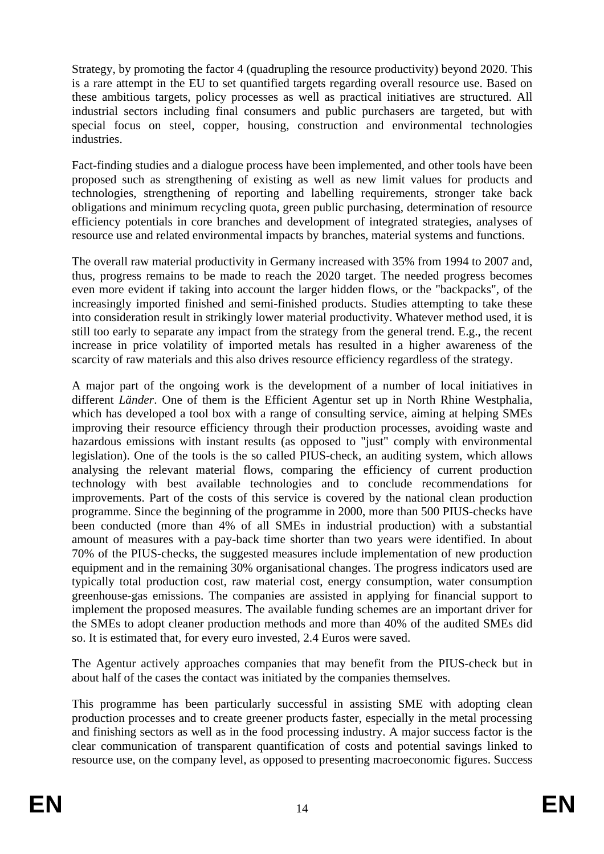Strategy, by promoting the factor 4 (quadrupling the resource productivity) beyond 2020. This is a rare attempt in the EU to set quantified targets regarding overall resource use. Based on these ambitious targets, policy processes as well as practical initiatives are structured. All industrial sectors including final consumers and public purchasers are targeted, but with special focus on steel, copper, housing, construction and environmental technologies industries.

Fact-finding studies and a dialogue process have been implemented, and other tools have been proposed such as strengthening of existing as well as new limit values for products and technologies, strengthening of reporting and labelling requirements, stronger take back obligations and minimum recycling quota, green public purchasing, determination of resource efficiency potentials in core branches and development of integrated strategies, analyses of resource use and related environmental impacts by branches, material systems and functions.

The overall raw material productivity in Germany increased with 35% from 1994 to 2007 and, thus, progress remains to be made to reach the 2020 target. The needed progress becomes even more evident if taking into account the larger hidden flows, or the "backpacks", of the increasingly imported finished and semi-finished products. Studies attempting to take these into consideration result in strikingly lower material productivity. Whatever method used, it is still too early to separate any impact from the strategy from the general trend. E.g., the recent increase in price volatility of imported metals has resulted in a higher awareness of the scarcity of raw materials and this also drives resource efficiency regardless of the strategy.

A major part of the ongoing work is the development of a number of local initiatives in different *Länder*. One of them is the Efficient Agentur set up in North Rhine Westphalia, which has developed a tool box with a range of consulting service, aiming at helping SMEs improving their resource efficiency through their production processes, avoiding waste and hazardous emissions with instant results (as opposed to "just" comply with environmental legislation). One of the tools is the so called PIUS-check, an auditing system, which allows analysing the relevant material flows, comparing the efficiency of current production technology with best available technologies and to conclude recommendations for improvements. Part of the costs of this service is covered by the national clean production programme. Since the beginning of the programme in 2000, more than 500 PIUS-checks have been conducted (more than 4% of all SMEs in industrial production) with a substantial amount of measures with a pay-back time shorter than two years were identified. In about 70% of the PIUS-checks, the suggested measures include implementation of new production equipment and in the remaining 30% organisational changes. The progress indicators used are typically total production cost, raw material cost, energy consumption, water consumption greenhouse-gas emissions. The companies are assisted in applying for financial support to implement the proposed measures. The available funding schemes are an important driver for the SMEs to adopt cleaner production methods and more than 40% of the audited SMEs did so. It is estimated that, for every euro invested, 2.4 Euros were saved.

The Agentur actively approaches companies that may benefit from the PIUS-check but in about half of the cases the contact was initiated by the companies themselves.

This programme has been particularly successful in assisting SME with adopting clean production processes and to create greener products faster, especially in the metal processing and finishing sectors as well as in the food processing industry. A major success factor is the clear communication of transparent quantification of costs and potential savings linked to resource use, on the company level, as opposed to presenting macroeconomic figures. Success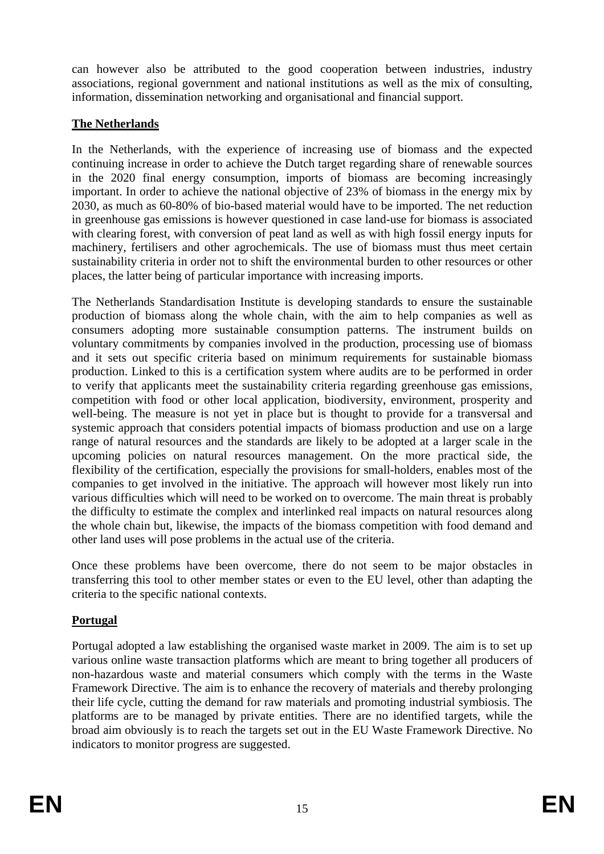can however also be attributed to the good cooperation between industries, industry associations, regional government and national institutions as well as the mix of consulting, information, dissemination networking and organisational and financial support.

# **The Netherlands**

In the Netherlands, with the experience of increasing use of biomass and the expected continuing increase in order to achieve the Dutch target regarding share of renewable sources in the 2020 final energy consumption, imports of biomass are becoming increasingly important. In order to achieve the national objective of 23% of biomass in the energy mix by 2030, as much as 60-80% of bio-based material would have to be imported. The net reduction in greenhouse gas emissions is however questioned in case land-use for biomass is associated with clearing forest, with conversion of peat land as well as with high fossil energy inputs for machinery, fertilisers and other agrochemicals. The use of biomass must thus meet certain sustainability criteria in order not to shift the environmental burden to other resources or other places, the latter being of particular importance with increasing imports.

The Netherlands Standardisation Institute is developing standards to ensure the sustainable production of biomass along the whole chain, with the aim to help companies as well as consumers adopting more sustainable consumption patterns. The instrument builds on voluntary commitments by companies involved in the production, processing use of biomass and it sets out specific criteria based on minimum requirements for sustainable biomass production. Linked to this is a certification system where audits are to be performed in order to verify that applicants meet the sustainability criteria regarding greenhouse gas emissions, competition with food or other local application, biodiversity, environment, prosperity and well-being. The measure is not yet in place but is thought to provide for a transversal and systemic approach that considers potential impacts of biomass production and use on a large range of natural resources and the standards are likely to be adopted at a larger scale in the upcoming policies on natural resources management. On the more practical side, the flexibility of the certification, especially the provisions for small-holders, enables most of the companies to get involved in the initiative. The approach will however most likely run into various difficulties which will need to be worked on to overcome. The main threat is probably the difficulty to estimate the complex and interlinked real impacts on natural resources along the whole chain but, likewise, the impacts of the biomass competition with food demand and other land uses will pose problems in the actual use of the criteria.

Once these problems have been overcome, there do not seem to be major obstacles in transferring this tool to other member states or even to the EU level, other than adapting the criteria to the specific national contexts.

# **Portugal**

Portugal adopted a law establishing the organised waste market in 2009. The aim is to set up various online waste transaction platforms which are meant to bring together all producers of non-hazardous waste and material consumers which comply with the terms in the Waste Framework Directive. The aim is to enhance the recovery of materials and thereby prolonging their life cycle, cutting the demand for raw materials and promoting industrial symbiosis. The platforms are to be managed by private entities. There are no identified targets, while the broad aim obviously is to reach the targets set out in the EU Waste Framework Directive. No indicators to monitor progress are suggested.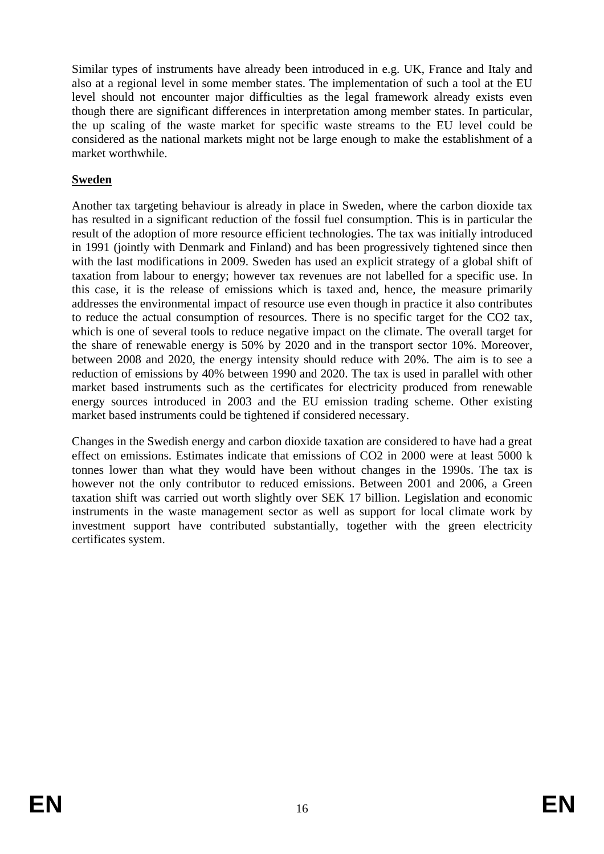Similar types of instruments have already been introduced in e.g. UK, France and Italy and also at a regional level in some member states. The implementation of such a tool at the EU level should not encounter major difficulties as the legal framework already exists even though there are significant differences in interpretation among member states. In particular, the up scaling of the waste market for specific waste streams to the EU level could be considered as the national markets might not be large enough to make the establishment of a market worthwhile.

## **Sweden**

Another tax targeting behaviour is already in place in Sweden, where the carbon dioxide tax has resulted in a significant reduction of the fossil fuel consumption. This is in particular the result of the adoption of more resource efficient technologies. The tax was initially introduced in 1991 (jointly with Denmark and Finland) and has been progressively tightened since then with the last modifications in 2009. Sweden has used an explicit strategy of a global shift of taxation from labour to energy; however tax revenues are not labelled for a specific use. In this case, it is the release of emissions which is taxed and, hence, the measure primarily addresses the environmental impact of resource use even though in practice it also contributes to reduce the actual consumption of resources. There is no specific target for the CO2 tax, which is one of several tools to reduce negative impact on the climate. The overall target for the share of renewable energy is 50% by 2020 and in the transport sector 10%. Moreover, between 2008 and 2020, the energy intensity should reduce with 20%. The aim is to see a reduction of emissions by 40% between 1990 and 2020. The tax is used in parallel with other market based instruments such as the certificates for electricity produced from renewable energy sources introduced in 2003 and the EU emission trading scheme. Other existing market based instruments could be tightened if considered necessary.

Changes in the Swedish energy and carbon dioxide taxation are considered to have had a great effect on emissions. Estimates indicate that emissions of CO2 in 2000 were at least 5000 k tonnes lower than what they would have been without changes in the 1990s. The tax is however not the only contributor to reduced emissions. Between 2001 and 2006, a Green taxation shift was carried out worth slightly over SEK 17 billion. Legislation and economic instruments in the waste management sector as well as support for local climate work by investment support have contributed substantially, together with the green electricity certificates system.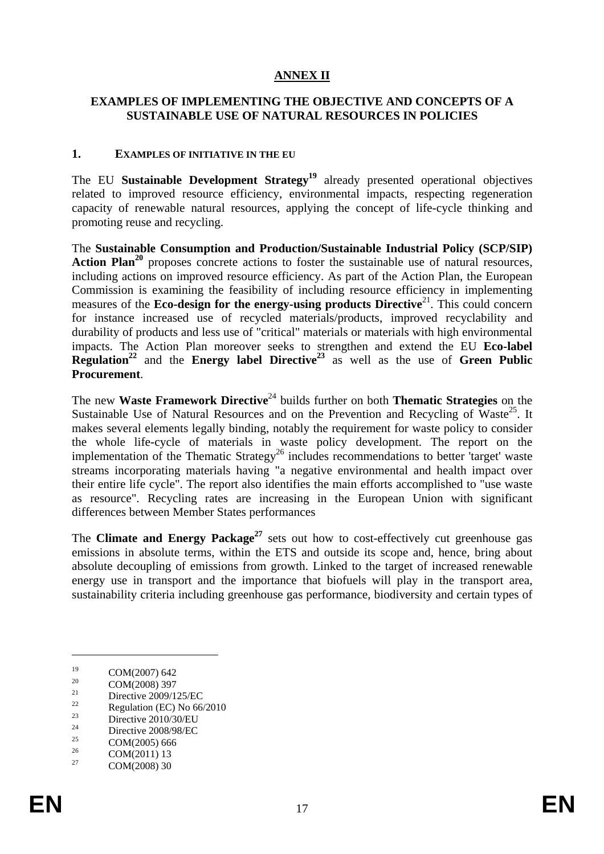# **ANNEX II**

#### **EXAMPLES OF IMPLEMENTING THE OBJECTIVE AND CONCEPTS OF A SUSTAINABLE USE OF NATURAL RESOURCES IN POLICIES**

#### **1. EXAMPLES OF INITIATIVE IN THE EU**

The EU Sustainable Development Strategy<sup>19</sup> already presented operational objectives related to improved resource efficiency, environmental impacts, respecting regeneration capacity of renewable natural resources, applying the concept of life-cycle thinking and promoting reuse and recycling.

The **Sustainable Consumption and Production/Sustainable Industrial Policy (SCP/SIP)** Action Plan<sup>20</sup> proposes concrete actions to foster the sustainable use of natural resources, including actions on improved resource efficiency. As part of the Action Plan, the European Commission is examining the feasibility of including resource efficiency in implementing measures of the **Eco-design for the energy-using products Directive**<sup>21</sup>. This could concern for instance increased use of recycled materials/products, improved recyclability and durability of products and less use of "critical" materials or materials with high environmental impacts. The Action Plan moreover seeks to strengthen and extend the EU **Eco-label Regulation**<sup>22</sup> and the **Energy label Directive**<sup>23</sup> as well as the use of **Green Public Procurement**.

The new Waste Framework Directive<sup>24</sup> builds further on both **Thematic Strategies** on the Sustainable Use of Natural Resources and on the Prevention and Recycling of Waste<sup>25</sup>. It makes several elements legally binding, notably the requirement for waste policy to consider the whole life-cycle of materials in waste policy development. The report on the implementation of the Thematic Strategy<sup>26</sup> includes recommendations to better 'target' waste streams incorporating materials having "a negative environmental and health impact over their entire life cycle". The report also identifies the main efforts accomplished to "use waste as resource". Recycling rates are increasing in the European Union with significant differences between Member States performances

The **Climate and Energy Package<sup>27</sup>** sets out how to cost-effectively cut greenhouse gas emissions in absolute terms, within the ETS and outside its scope and, hence, bring about absolute decoupling of emissions from growth. Linked to the target of increased renewable energy use in transport and the importance that biofuels will play in the transport area, sustainability criteria including greenhouse gas performance, biodiversity and certain types of

 $^{19}$  COM(2007) 642

 $20$  COM(2008) 397

<sup>&</sup>lt;sup>21</sup> Directive 2009/125/EC

 $\frac{22}{23}$  Regulation (EC) No 66/2010

 $\frac{23}{24}$  Directive 2010/30/EU

 $2^{24}$  Directive 2008/98/EC

<sup>&</sup>lt;sup>25</sup> COM(2005) 666

 $26 \text{ COM}(2011) 13$ <br>  $27 \text{ COM}(2008) 20$ 

COM(2008) 30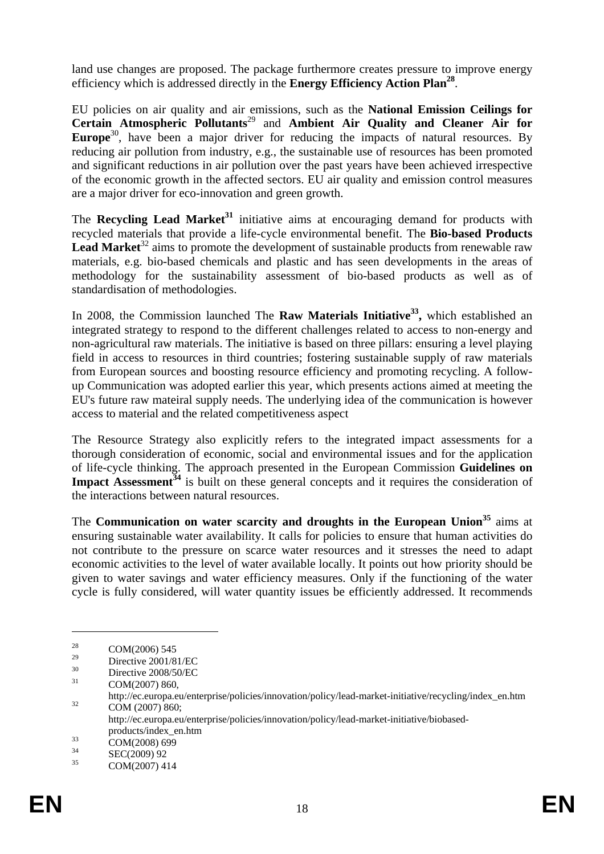land use changes are proposed. The package furthermore creates pressure to improve energy efficiency which is addressed directly in the **Energy Efficiency Action Plan28**.

EU policies on air quality and air emissions, such as the **National Emission Ceilings for Certain Atmospheric Pollutants**29 and **Ambient Air Quality and Cleaner Air for**  Europe<sup>30</sup>, have been a major driver for reducing the impacts of natural resources. By reducing air pollution from industry, e.g., the sustainable use of resources has been promoted and significant reductions in air pollution over the past years have been achieved irrespective of the economic growth in the affected sectors. EU air quality and emission control measures are a major driver for eco-innovation and green growth.

The **Recycling Lead Market**<sup>31</sup> initiative aims at encouraging demand for products with recycled materials that provide a life-cycle environmental benefit. The **Bio-based Products**  Lead Market<sup>32</sup> aims to promote the development of sustainable products from renewable raw materials, e.g. bio-based chemicals and plastic and has seen developments in the areas of methodology for the sustainability assessment of bio-based products as well as of standardisation of methodologies.

In 2008, the Commission launched The **Raw Materials Initiative<sup>33</sup>**, which established an integrated strategy to respond to the different challenges related to access to non-energy and non-agricultural raw materials. The initiative is based on three pillars: ensuring a level playing field in access to resources in third countries; fostering sustainable supply of raw materials from European sources and boosting resource efficiency and promoting recycling. A followup Communication was adopted earlier this year, which presents actions aimed at meeting the EU's future raw mateiral supply needs. The underlying idea of the communication is however access to material and the related competitiveness aspect

The Resource Strategy also explicitly refers to the integrated impact assessments for a thorough consideration of economic, social and environmental issues and for the application of life-cycle thinking. The approach presented in the European Commission **Guidelines on Impact Assessment<sup>34</sup>** is built on these general concepts and it requires the consideration of the interactions between natural resources.

The **Communication on water scarcity and droughts in the European Union<sup>35</sup> aims at** ensuring sustainable water availability. It calls for policies to ensure that human activities do not contribute to the pressure on scarce water resources and it stresses the need to adapt economic activities to the level of water available locally. It points out how priority should be given to water savings and water efficiency measures. Only if the functioning of the water cycle is fully considered, will water quantity issues be efficiently addressed. It recommends

<u>.</u>

<sup>&</sup>lt;sup>28</sup> COM(2006) 545

 $^{29}$  Directive 2001/81/EC

 $30$  Directive 2008/50/EC

COM(2007) 860,

http://ec.europa.eu/enterprise/policies/innovation/policy/lead-market-initiative/recycling/index\_en.htm<br>
COM (2007) 860;

http://ec.europa.eu/enterprise/policies/innovation/policy/lead-market-initiative/biobased-

products/index\_en.htm<br>  $\frac{33}{24}$  COM(2008) 699

 $\text{SEC}(2009) 92$ <br>35  $\text{COM}(2007) 41$ 

COM(2007) 414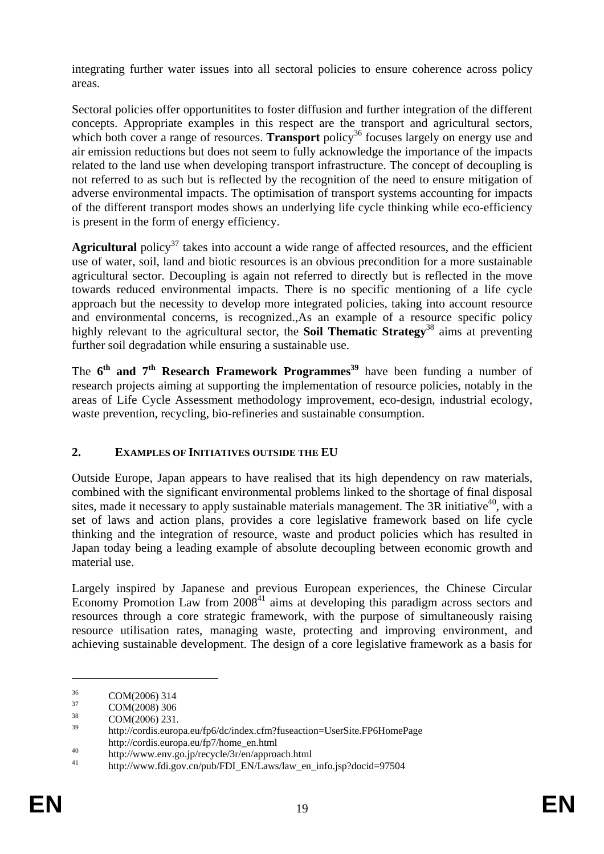integrating further water issues into all sectoral policies to ensure coherence across policy areas.

Sectoral policies offer opportunitites to foster diffusion and further integration of the different concepts. Appropriate examples in this respect are the transport and agricultural sectors, which both cover a range of resources. **Transport** policy<sup>36</sup> focuses largely on energy use and air emission reductions but does not seem to fully acknowledge the importance of the impacts related to the land use when developing transport infrastructure. The concept of decoupling is not referred to as such but is reflected by the recognition of the need to ensure mitigation of adverse environmental impacts. The optimisation of transport systems accounting for impacts of the different transport modes shows an underlying life cycle thinking while eco-efficiency is present in the form of energy efficiency.

Agricultural policy<sup>37</sup> takes into account a wide range of affected resources, and the efficient use of water, soil, land and biotic resources is an obvious precondition for a more sustainable agricultural sector. Decoupling is again not referred to directly but is reflected in the move towards reduced environmental impacts. There is no specific mentioning of a life cycle approach but the necessity to develop more integrated policies, taking into account resource and environmental concerns, is recognized.,As an example of a resource specific policy highly relevant to the agricultural sector, the **Soil Thematic Strategy**38 aims at preventing further soil degradation while ensuring a sustainable use.

The  $6<sup>th</sup>$  and  $7<sup>th</sup>$  Research Framework Programmes<sup>39</sup> have been funding a number of research projects aiming at supporting the implementation of resource policies, notably in the areas of Life Cycle Assessment methodology improvement, eco-design, industrial ecology, waste prevention, recycling, bio-refineries and sustainable consumption.

# **2. EXAMPLES OF INITIATIVES OUTSIDE THE EU**

Outside Europe, Japan appears to have realised that its high dependency on raw materials, combined with the significant environmental problems linked to the shortage of final disposal sites, made it necessary to apply sustainable materials management. The  $3R$  initiative<sup>40</sup>, with a set of laws and action plans, provides a core legislative framework based on life cycle thinking and the integration of resource, waste and product policies which has resulted in Japan today being a leading example of absolute decoupling between economic growth and material use.

Largely inspired by Japanese and previous European experiences, the Chinese Circular Economy Promotion Law from  $2008<sup>41</sup>$  aims at developing this paradigm across sectors and resources through a core strategic framework, with the purpose of simultaneously raising resource utilisation rates, managing waste, protecting and improving environment, and achieving sustainable development. The design of a core legislative framework as a basis for

 $\frac{36}{37}$  COM(2006) 314

 $\frac{37}{38}$  COM(2008) 306

 $\frac{38}{39}$  COM(2006) 231.

<sup>39</sup> http://cordis.europa.eu/fp6/dc/index.cfm?fuseaction=UserSite.FP6HomePage http://cordis.europa.eu/fp7/home\_en.html

<sup>40</sup> http://www.env.go.jp/recycle/3r/en/approach.html<br>
41 http://www.fdi.gov.cn/pub/FDI\_EN/Laws/law\_en\_info.jsp?docid=97504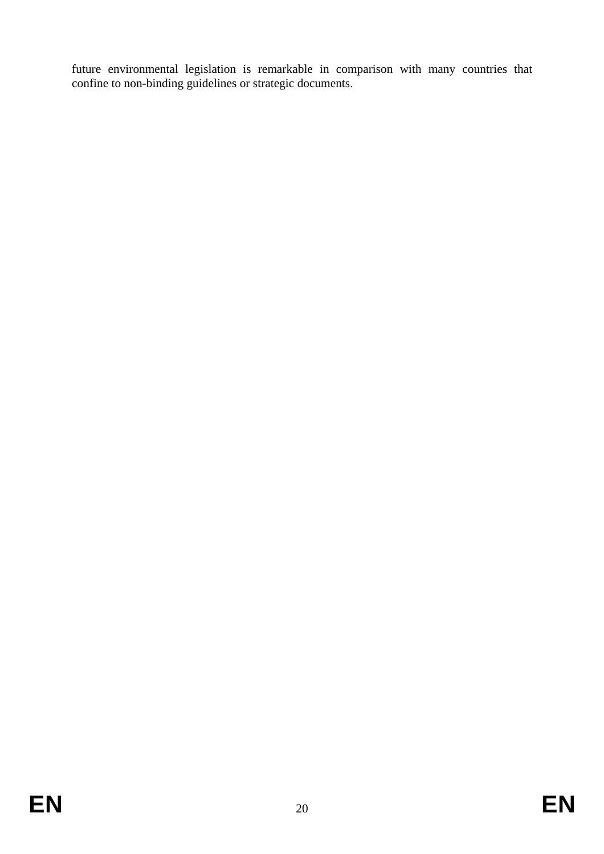future environmental legislation is remarkable in comparison with many countries that confine to non-binding guidelines or strategic documents.